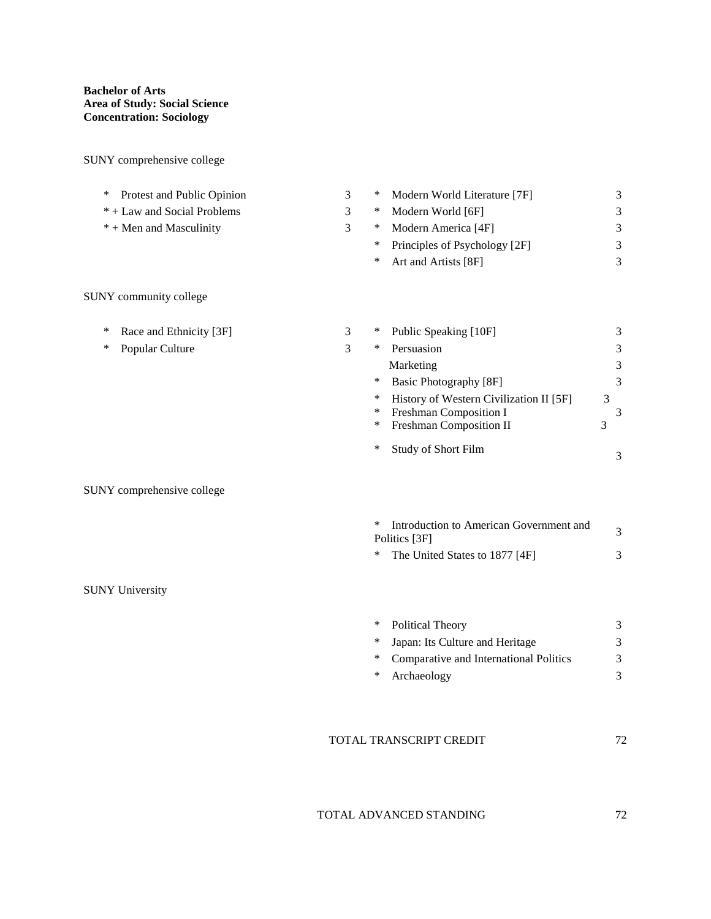SUNY comprehensive college

| Protest and Public Opinion<br>∗ | 3 | Modern World Literature [7F]<br>∗                                     | 3                   |
|---------------------------------|---|-----------------------------------------------------------------------|---------------------|
| * + Law and Social Problems     | 3 | Modern World [6F]<br>$\ast$                                           | 3                   |
| $* +$ Men and Masculinity       | 3 | Modern America [4F]<br>$\ast$                                         | 3                   |
|                                 |   | Principles of Psychology [2F]<br>$\ast$                               | $\mathfrak{Z}$      |
|                                 |   | ∗<br>Art and Artists [8F]                                             | 3                   |
| SUNY community college          |   |                                                                       |                     |
| ∗<br>Race and Ethnicity [3F]    | 3 | $\ast$<br>Public Speaking [10F]                                       | 3                   |
| Popular Culture<br>∗            | 3 | Persuasion<br>$\ast$                                                  | 3                   |
|                                 |   | Marketing                                                             | 3                   |
|                                 |   | $\ast$<br><b>Basic Photography [8F]</b>                               | 3                   |
|                                 |   | History of Western Civilization II [5F]<br>∗                          | 3                   |
|                                 |   | Freshman Composition I<br>$\ast$<br>$\ast$<br>Freshman Composition II | $\mathfrak{Z}$<br>3 |
|                                 |   |                                                                       |                     |
|                                 |   | $\ast$<br>Study of Short Film                                         | 3                   |
| SUNY comprehensive college      |   |                                                                       |                     |
|                                 |   | $\ast$<br>Introduction to American Government and<br>Politics [3F]    | $\mathfrak{Z}$      |
|                                 |   | The United States to 1877 [4F]<br>$\ast$                              | 3                   |
| <b>SUNY University</b>          |   |                                                                       |                     |
|                                 |   | ∗<br>Political Theory                                                 | 3                   |
|                                 |   | Japan: Its Culture and Heritage<br>$\ast$                             | 3                   |
|                                 |   | Comparative and International Politics<br>$\ast$                      | 3                   |
|                                 |   | $\ast$<br>Archaeology                                                 | 3                   |
|                                 |   |                                                                       |                     |
|                                 |   | TOTAL TRANSCRIPT CREDIT                                               | 72                  |
|                                 |   |                                                                       |                     |

## TOTAL ADVANCED STANDING 72